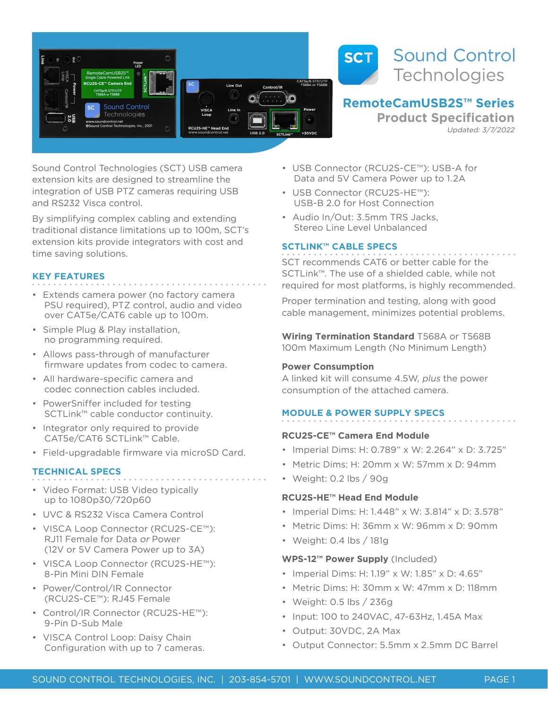



# **RemoteCamUSB2S™ Series**

**Product Specification** Updated: 3/7/2022

Sound Control Technologies (SCT) USB camera extension kits are designed to streamline the integration of USB PTZ cameras requiring USB and RS232 Visca control.

By simplifying complex cabling and extending traditional distance limitations up to 100m, SCT's extension kits provide integrators with cost and time saving solutions.

## **KEY FEATURES**

- Extends camera power (no factory camera PSU required), PTZ control, audio and video over CAT5e/CAT6 cable up to 100m.
- Simple Plug & Play installation, no programming required.
- Allows pass-through of manufacturer firmware updates from codec to camera.
- All hardware-specific camera and codec connection cables included.
- PowerSniffer included for testing SCTLink™ cable conductor continuity.
- Integrator only required to provide CAT5e/CAT6 SCTLink™ Cable.
- Field-upgradable firmware via microSD Card.

### **TECHNICAL SPECS**

- Video Format: USB Video typically up to 1080p30/720p60
- UVC & RS232 Visca Camera Control
- VISCA Loop Connector (RCU2S-CE™): RJ11 Female for Data or Power (12V or 5V Camera Power up to 3A)
- VISCA Loop Connector (RCU2S-HE™): 8-Pin Mini DIN Female
- Power/Control/IR Connector (RCU2S-CE™): RJ45 Female
- Control/IR Connector (RCU2S-HE™): 9-Pin D-Sub Male
- VISCA Control Loop: Daisy Chain Configuration with up to 7 cameras.
- USB Connector (RCU2S-CE™): USB-A for Data and 5V Camera Power up to 1.2A
- USB Connector (RCU2S-HE™): USB-B 2.0 for Host Connection
- Audio In/Out: 3.5mm TRS Jacks, Stereo Line Level Unbalanced

# **SCTLINK™ CABLE SPECS**

SCT recommends CAT6 or better cable for the SCTLink™. The use of a shielded cable, while not required for most platforms, is highly recommended.

Proper termination and testing, along with good cable management, minimizes potential problems.

**Wiring Termination Standard** T568A or T568B 100m Maximum Length (No Minimum Length)

# **Power Consumption**

A linked kit will consume 4.5W, plus the power consumption of the attached camera.

# **MODULE & POWER SUPPLY SPECS**

# **RCU2S-CE™ Camera End Module**

- Imperial Dims: H: 0.789" x W: 2.264" x D: 3.725"
- Metric Dims: H: 20mm x W: 57mm x D: 94mm
- Weight: 0.2 lbs / 90g

# **RCU2S-HE™ Head End Module**

- Imperial Dims: H: 1.448" x W: 3.814" x D: 3.578"
- Metric Dims: H: 36mm x W: 96mm x D: 90mm
- Weight: 0.4 lbs / 181g

# **WPS-12™ Power Supply** (Included)

- Imperial Dims: H: 1.19" x W: 1.85" x D: 4.65"
- Metric Dims: H: 30mm x W: 47mm x D: 118mm
- Weight: 0.5 lbs / 236g
- Input: 100 to 240VAC, 47-63Hz, 1.45A Max
- Output: 30VDC, 2A Max
- Output Connector: 5.5mm x 2.5mm DC Barrel